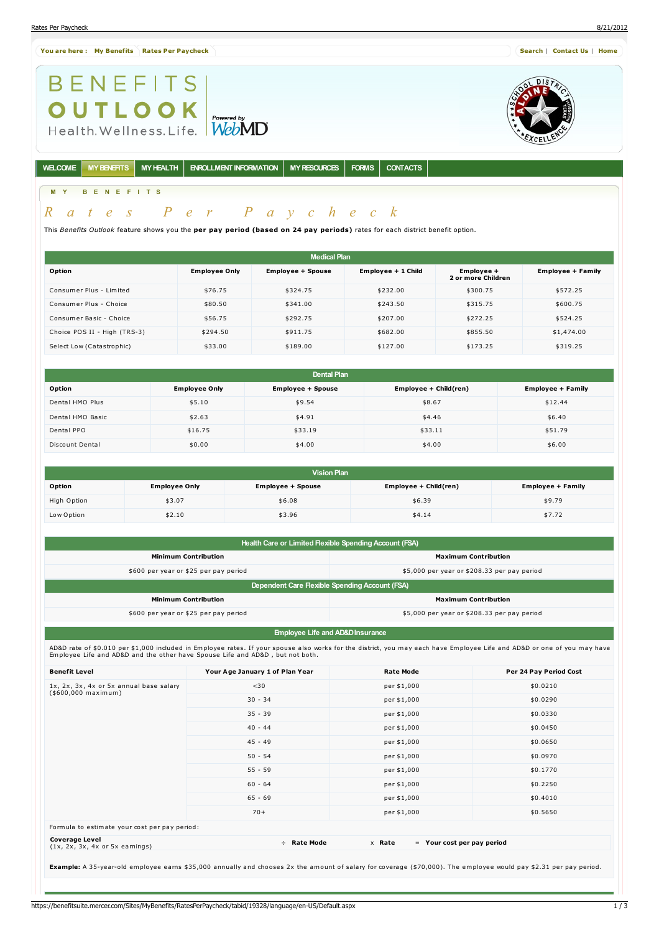#### **You are here : My [Benefits](https://benefitsuite.mercer.com/Sites/MyBenefits/BenefitsSummary/tabid/19327/language/en-US/Default.aspx) Rates Per [Paycheck](https://benefitsuite.mercer.com/Sites/MyBenefits/RatesPerPaycheck/tabid/19328/language/en-US/Default.aspx) [Search](javascript:getLink()** | **[Contact](javascript:getLink() Us** | **[Home](javascript:getLink()**

**BENEFITS** 

**OUTLOOK**<br>Health.Wellness.Life. WebMD

**WELCOME MYBENEFITS MYHEALTH ENROLLMENT INFORMATION MYRESOURCES FORMS CONTACTS**

# **M Y B E N E F I T S**

# *R a t e s P e r P a y c h e c k*

This *Benefits Outlook* feature shows you the **per pay period (based on 24 pay periods)** rates for each district benefit option.

|                              |                      | <b>Medical Plan</b>      |                    |                                  |                          |
|------------------------------|----------------------|--------------------------|--------------------|----------------------------------|--------------------------|
| Option                       | <b>Employee Only</b> | <b>Employee + Spouse</b> | Employee + 1 Child | Employee +<br>2 or more Children | <b>Employee + Family</b> |
| Consumer Plus - Limited      | \$76.75              | \$324.75                 | \$232.00           | \$300.75                         | \$572.25                 |
| Consumer Plus - Choice       | \$80.50              | \$341.00                 | \$243.50           | \$315.75                         | \$600.75                 |
| Consumer Basic - Choice      | \$56.75              | \$292.75                 | \$207.00           | \$272.25                         | \$524.25                 |
| Choice POS II - High (TRS-3) | \$294.50             | \$911.75                 | \$682.00           | \$855.50                         | \$1,474.00               |
| Select Low (Catastrophic)    | \$33.00              | \$189.00                 | \$127.00           | \$173.25                         | \$319.25                 |

|                  |                      | <b>Dental Plan</b>       |                       |                          |
|------------------|----------------------|--------------------------|-----------------------|--------------------------|
| Option           | <b>Employee Only</b> | <b>Employee + Spouse</b> | Employee + Child(ren) | <b>Employee + Family</b> |
| Dental HMO Plus  | \$5.10               | \$9.54                   | \$8.67                | \$12.44                  |
| Dental HMO Basic | \$2.63               | \$4.91                   | \$4.46                | \$6.40                   |
| Dental PPO       | \$16.75              | \$33.19                  | \$33.11               | \$51.79                  |
| Discount Dental  | \$0.00               | \$4.00                   | \$4.00                | \$6.00                   |

|             |                      | <b>Vision Plan</b>       |                       |                          |
|-------------|----------------------|--------------------------|-----------------------|--------------------------|
| Option      | <b>Employee Only</b> | <b>Employee + Spouse</b> | Employee + Child(ren) | <b>Employee + Family</b> |
| High Option | \$3.07               | \$6.08                   | \$6.39                | \$9.79                   |
| Low Option  | \$2.10               | \$3.96                   | \$4.14                | \$7.72                   |

| Health Care or Limited Flexible Spending Account (FSA) |                                             |  |  |  |
|--------------------------------------------------------|---------------------------------------------|--|--|--|
| <b>Minimum Contribution</b>                            | <b>Maximum Contribution</b>                 |  |  |  |
| \$600 per year or \$25 per pay period                  | \$5,000 per year or \$208.33 per pay period |  |  |  |
| Dependent Care Flexible Spending Account (FSA)         |                                             |  |  |  |
| <b>Minimum Contribution</b>                            | <b>Maximum Contribution</b>                 |  |  |  |
| \$600 per year or \$25 per pay period                  | \$5,000 per year or \$208.33 per pay period |  |  |  |
|                                                        |                                             |  |  |  |

**Employee Life and AD&DInsurance**

AD&D rate of \$0.010 per \$1,000 included in Employee rates. If your spouse also works for the district, you may each have Employee Life and AD&D or one of you may have<br>Employee Life and AD&D and the other have Spouse Life a

| <b>Benefit Level</b>                                            | Your Age January 1 of Plan Year | <b>Rate Mode</b>                       | Per 24 Pay Period Cost |
|-----------------------------------------------------------------|---------------------------------|----------------------------------------|------------------------|
| 1x, 2x, 3x, 4x or 5x annual base salary<br>$($600,000$ maximum) | $30$                            | per \$1,000                            | \$0.0210               |
|                                                                 | $30 - 34$                       | per \$1,000                            | \$0.0290               |
|                                                                 | $35 - 39$                       | per \$1,000                            | \$0.0330               |
|                                                                 | $40 - 44$                       | per \$1,000                            | \$0.0450               |
|                                                                 | $45 - 49$                       | per \$1,000                            | \$0.0650               |
|                                                                 | $50 - 54$                       | per \$1,000                            | \$0.0970               |
|                                                                 | $55 - 59$                       | per \$1,000                            | \$0.1770               |
|                                                                 | $60 - 64$                       | per \$1,000                            | \$0.2250               |
|                                                                 | $65 - 69$                       | per \$1,000                            | \$0.4010               |
|                                                                 | $70+$                           | per \$1,000                            | \$0.5650               |
| Formula to estimate your cost per pay period:                   |                                 |                                        |                        |
| <b>Coverage Level</b><br>$(1x, 2x, 3x, 4x$ or $5x$ earnings)    | Rate Mode<br>$\div$             | x Rate<br>$=$ Your cost per pay period |                        |
|                                                                 |                                 |                                        |                        |

**Example:** A 35-year-old employee earns \$35,000 annually and chooses 2x the amount of salary for coverage (\$70,000). The employee would pay \$2.31 per pay period.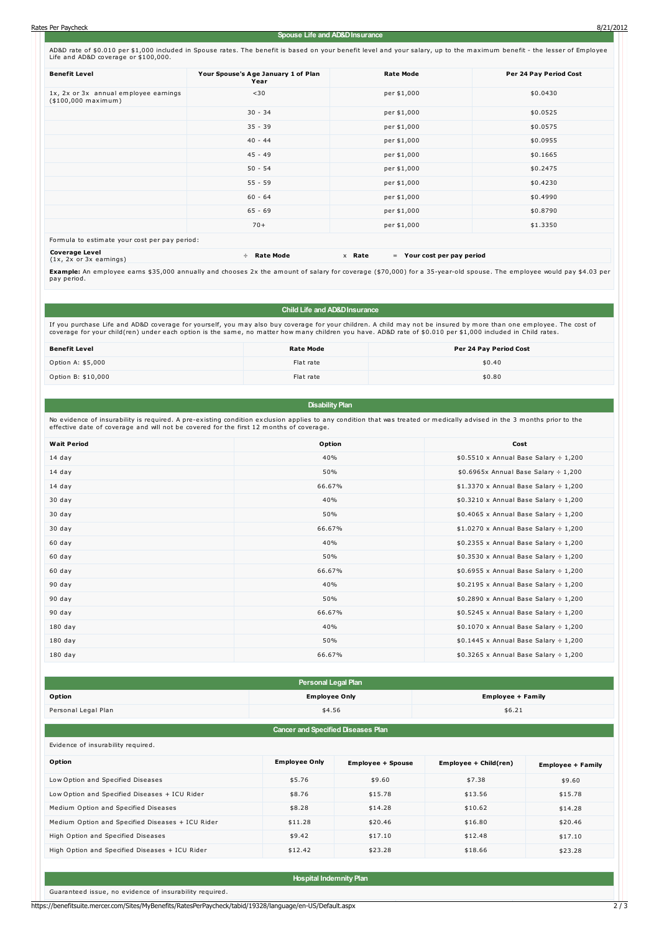AD&D rate of \$0.010 per \$1,000 included in Spouse rates. The benefit is based on your benefit level and your salary, up to the maximum benefit - the lesser of Employee Life and AD&D coverage or \$100,000.

| <b>Benefit Level</b>                                                | Your Spouse's Age January 1 of Plan<br>Year | <b>Rate Mode</b>                       | Per 24 Pay Period Cost |
|---------------------------------------------------------------------|---------------------------------------------|----------------------------------------|------------------------|
| 1x, 2x or 3x annual employee earnings<br>(\$100,000 maximum)        | $30$                                        | per \$1,000                            | \$0.0430               |
|                                                                     | $30 - 34$                                   | per \$1,000                            | \$0.0525               |
|                                                                     | $35 - 39$                                   | per \$1,000                            | \$0.0575               |
|                                                                     | $40 - 44$                                   | per \$1,000                            | \$0.0955               |
|                                                                     | $45 - 49$                                   | per \$1,000                            | \$0.1665               |
|                                                                     | $50 - 54$                                   | per \$1,000                            | \$0.2475               |
|                                                                     | $55 - 59$                                   | per \$1,000                            | \$0.4230               |
|                                                                     | $60 - 64$                                   | per \$1,000                            | \$0.4990               |
|                                                                     | $65 - 69$                                   | per \$1,000                            | \$0.8790               |
|                                                                     | $70+$                                       | per \$1,000                            | \$1.3350               |
| Formula to estimate your cost per pay period:                       |                                             |                                        |                        |
| <b>Coverage Level</b><br>$(1x, 2x \text{ or } 3x \text{ earnings})$ | <b>Rate Mode</b><br>÷                       | x Rate<br>$=$ Your cost per pay period |                        |

**Example:** An employee earns \$35,000 annually and chooses 2x the amount of salary for coverage (\$70,000) for a 35-year-old spouse. The employee would pay \$4.03 per pay period.

### **Child Life and AD&DInsurance**

If you purchase Life and AD&D coverage for yourself, you may also buy coverage for your children. A child may not be insured by more than one employee. The cost of<br>coverage for your child(ren) under each option is the same

| <b>Benefit Level</b> | <b>Rate Mode</b> | Per 24 Pay Period Cost |
|----------------------|------------------|------------------------|
| Option A: \$5,000    | Flat rate        | \$0.40                 |
| Option B: \$10,000   | Flat rate        | \$0.80                 |

## **Disability Plan**

No evidence of insurability is required. A pre-existing condition exclusion applies to any condition that was treated or medically advised in the 3 months prior to the effective date of coverage and will not be covered for the first 12 months of coverage.

| <b>Wait Period</b> | Option | Cost                                             |
|--------------------|--------|--------------------------------------------------|
| $14$ day           | 40%    | $$0.5510 \times$ Annual Base Salary ÷ 1,200      |
| 14 day             | 50%    | $$0.6965x$ Annual Base Salary $\div 1,200$       |
| 14 day             | 66.67% | $$1.3370 \times$ Annual Base Salary ÷ 1,200      |
| 30 day             | 40%    | $$0.3210 \times$ Annual Base Salary $\div 1,200$ |
| 30 day             | 50%    | $$0.4065 \times$ Annual Base Salary ÷ 1,200      |
| 30 day             | 66.67% | $$1.0270 \times$ Annual Base Salary ÷ 1,200      |
| 60 day             | 40%    | $$0.2355 \times$ Annual Base Salary ÷ 1,200      |
| 60 day             | 50%    | $$0.3530 \times$ Annual Base Salary $\div 1,200$ |
| 60 day             | 66.67% | $$0.6955 \times$ Annual Base Salary ÷ 1,200      |
| 90 day             | 40%    | $$0.2195 \times$ Annual Base Salary ÷ 1,200      |
| 90 day             | 50%    | $$0.2890 \times$ Annual Base Salary $\div 1,200$ |
| 90 day             | 66.67% | $$0.5245 \times$ Annual Base Salary ÷ 1,200      |
| $180$ day          | 40%    | $$0.1070 \times$ Annual Base Salary $\div 1,200$ |
| 180 day            | 50%    | $$0.1445 \times$ Annual Base Salary $\div 1,200$ |
| $180$ day          | 66.67% | $$0.3265 \times$ Annual Base Salary $\div 1,200$ |

|                     | Personal Legal Plan  |                          |
|---------------------|----------------------|--------------------------|
| Option              | <b>Employee Only</b> | <b>Employee + Family</b> |
| Personal Legal Plan | \$4.56               | \$6.21                   |

### **Cancer and Specified Diseases Plan**

|  | Evidence of insurability required. |  |
|--|------------------------------------|--|
|  |                                    |  |

| Option                                           | <b>Employee Only</b> | <b>Employee + Spouse</b> | Employee + Child(ren) | <b>Employee + Family</b> |
|--------------------------------------------------|----------------------|--------------------------|-----------------------|--------------------------|
| Low Option and Specified Diseases                | \$5.76               | \$9.60                   | \$7.38                | \$9.60                   |
| Low Option and Specified Diseases + ICU Rider    | \$8.76               | \$15.78                  | \$13.56               | \$15.78                  |
| Medium Option and Specified Diseases             | \$8.28               | \$14.28                  | \$10.62               | \$14.28                  |
| Medium Option and Specified Diseases + ICU Rider | \$11.28              | \$20.46                  | \$16.80               | \$20.46                  |
| High Option and Specified Diseases               | \$9.42               | \$17.10                  | \$12.48               | \$17.10                  |
| High Option and Specified Diseases + ICU Rider   | \$12.42              | \$23.28                  | \$18.66               | \$23.28                  |

**Hospital Indemnity Plan**

Guaranteed issue, no evidence of insurability required.

https://benefitsuite.mercer.com/Sites/MyBenefits/RatesPerPaycheck/tabid/19328/language/en-US/Default.aspx 2 / 3